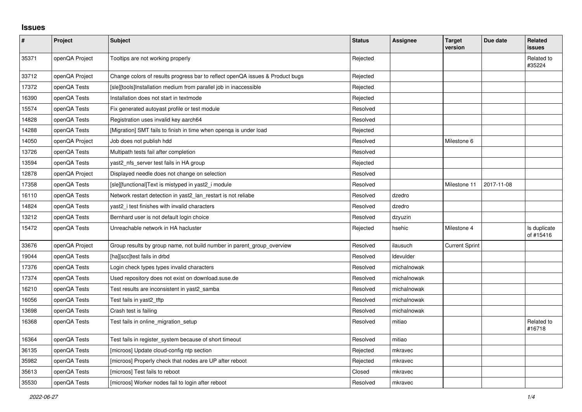## **Issues**

| $\pmb{\#}$ | Project        | <b>Subject</b>                                                                | <b>Status</b> | <b>Assignee</b> | <b>Target</b><br>version | Due date   | <b>Related</b><br>issues  |
|------------|----------------|-------------------------------------------------------------------------------|---------------|-----------------|--------------------------|------------|---------------------------|
| 35371      | openQA Project | Tooltips are not working properly                                             | Rejected      |                 |                          |            | Related to<br>#35224      |
| 33712      | openQA Project | Change colors of results progress bar to reflect openQA issues & Product bugs | Rejected      |                 |                          |            |                           |
| 17372      | openQA Tests   | [sle][tools]Installation medium from parallel job in inaccessible             | Rejected      |                 |                          |            |                           |
| 16390      | openQA Tests   | Installation does not start in textmode                                       | Rejected      |                 |                          |            |                           |
| 15574      | openQA Tests   | Fix generated autoyast profile or test module                                 | Resolved      |                 |                          |            |                           |
| 14828      | openQA Tests   | Registration uses invalid key aarch64                                         | Resolved      |                 |                          |            |                           |
| 14288      | openQA Tests   | [Migration] SMT fails to finish in time when openga is under load             | Rejected      |                 |                          |            |                           |
| 14050      | openQA Project | Job does not publish hdd                                                      | Resolved      |                 | Milestone 6              |            |                           |
| 13726      | openQA Tests   | Multipath tests fail after completion                                         | Resolved      |                 |                          |            |                           |
| 13594      | openQA Tests   | yast2_nfs_server test fails in HA group                                       | Rejected      |                 |                          |            |                           |
| 12878      | openQA Project | Displayed needle does not change on selection                                 | Resolved      |                 |                          |            |                           |
| 17358      | openQA Tests   | [sle][functional]Text is mistyped in yast2 i module                           | Resolved      |                 | Milestone 11             | 2017-11-08 |                           |
| 16110      | openQA Tests   | Network restart detection in yast2 lan restart is not reliabe                 | Resolved      | dzedro          |                          |            |                           |
| 14824      | openQA Tests   | yast2 i test finishes with invalid characters                                 | Resolved      | dzedro          |                          |            |                           |
| 13212      | openQA Tests   | Bernhard user is not default login choice                                     | Resolved      | dzyuzin         |                          |            |                           |
| 15472      | openQA Tests   | Unreachable network in HA hacluster                                           | Rejected      | hsehic          | Milestone 4              |            | Is duplicate<br>of #15416 |
| 33676      | openQA Project | Group results by group name, not build number in parent group overview        | Resolved      | ilausuch        | <b>Current Sprint</b>    |            |                           |
| 19044      | openQA Tests   | [ha][scc]test fails in drbd                                                   | Resolved      | Idevulder       |                          |            |                           |
| 17376      | openQA Tests   | Login check types types invalid characters                                    | Resolved      | michalnowak     |                          |            |                           |
| 17374      | openQA Tests   | Used repository does not exist on download.suse.de                            | Resolved      | michalnowak     |                          |            |                           |
| 16210      | openQA Tests   | Test results are inconsistent in yast2_samba                                  | Resolved      | michalnowak     |                          |            |                           |
| 16056      | openQA Tests   | Test fails in yast2 tftp                                                      | Resolved      | michalnowak     |                          |            |                           |
| 13698      | openQA Tests   | Crash test is failing                                                         | Resolved      | michalnowak     |                          |            |                           |
| 16368      | openQA Tests   | Test fails in online_migration_setup                                          | Resolved      | mitiao          |                          |            | Related to<br>#16718      |
| 16364      | openQA Tests   | Test fails in register_system because of short timeout                        | Resolved      | mitiao          |                          |            |                           |
| 36135      | openQA Tests   | [microos] Update cloud-config ntp section                                     | Rejected      | mkravec         |                          |            |                           |
| 35982      | openQA Tests   | [microos] Properly check that nodes are UP after reboot                       | Rejected      | mkravec         |                          |            |                           |
| 35613      | openQA Tests   | [microos] Test fails to reboot                                                | Closed        | mkravec         |                          |            |                           |
| 35530      | openQA Tests   | [microos] Worker nodes fail to login after reboot                             | Resolved      | mkravec         |                          |            |                           |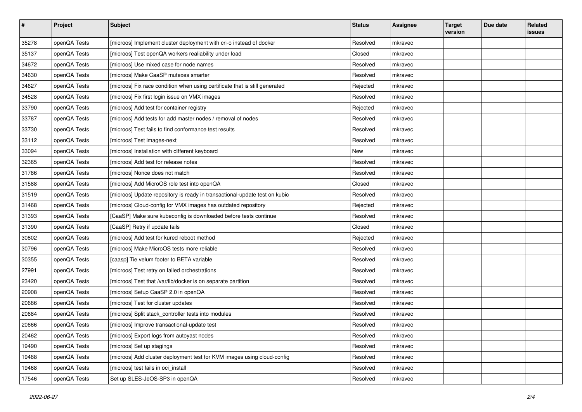| $\sharp$ | Project      | <b>Subject</b>                                                              | <b>Status</b> | <b>Assignee</b> | <b>Target</b><br>version | Due date | Related<br><b>issues</b> |
|----------|--------------|-----------------------------------------------------------------------------|---------------|-----------------|--------------------------|----------|--------------------------|
| 35278    | openQA Tests | [microos] Implement cluster deployment with cri-o instead of docker         | Resolved      | mkravec         |                          |          |                          |
| 35137    | openQA Tests | [microos] Test openQA workers realiability under load                       | Closed        | mkravec         |                          |          |                          |
| 34672    | openQA Tests | [microos] Use mixed case for node names                                     | Resolved      | mkravec         |                          |          |                          |
| 34630    | openQA Tests | [microos] Make CaaSP mutexes smarter                                        | Resolved      | mkravec         |                          |          |                          |
| 34627    | openQA Tests | [microos] Fix race condition when using certificate that is still generated | Rejected      | mkravec         |                          |          |                          |
| 34528    | openQA Tests | [microos] Fix first login issue on VMX images                               | Resolved      | mkravec         |                          |          |                          |
| 33790    | openQA Tests | [microos] Add test for container registry                                   | Rejected      | mkravec         |                          |          |                          |
| 33787    | openQA Tests | [microos] Add tests for add master nodes / removal of nodes                 | Resolved      | mkravec         |                          |          |                          |
| 33730    | openQA Tests | [microos] Test fails to find conformance test results                       | Resolved      | mkravec         |                          |          |                          |
| 33112    | openQA Tests | [microos] Test images-next                                                  | Resolved      | mkravec         |                          |          |                          |
| 33094    | openQA Tests | [microos] Installation with different keyboard                              | New           | mkravec         |                          |          |                          |
| 32365    | openQA Tests | [microos] Add test for release notes                                        | Resolved      | mkravec         |                          |          |                          |
| 31786    | openQA Tests | [microos] Nonce does not match                                              | Resolved      | mkravec         |                          |          |                          |
| 31588    | openQA Tests | [microos] Add MicroOS role test into openQA                                 | Closed        | mkravec         |                          |          |                          |
| 31519    | openQA Tests | [microos] Update repository is ready in transactional-update test on kubic  | Resolved      | mkravec         |                          |          |                          |
| 31468    | openQA Tests | [microos] Cloud-config for VMX images has outdated repository               | Rejected      | mkravec         |                          |          |                          |
| 31393    | openQA Tests | [CaaSP] Make sure kubeconfig is downloaded before tests continue            | Resolved      | mkravec         |                          |          |                          |
| 31390    | openQA Tests | [CaaSP] Retry if update fails                                               | Closed        | mkravec         |                          |          |                          |
| 30802    | openQA Tests | [microos] Add test for kured reboot method                                  | Rejected      | mkravec         |                          |          |                          |
| 30796    | openQA Tests | [microos] Make MicroOS tests more reliable                                  | Resolved      | mkravec         |                          |          |                          |
| 30355    | openQA Tests | [caasp] Tie velum footer to BETA variable                                   | Resolved      | mkravec         |                          |          |                          |
| 27991    | openQA Tests | [microos] Test retry on failed orchestrations                               | Resolved      | mkravec         |                          |          |                          |
| 23420    | openQA Tests | [microos] Test that /var/lib/docker is on separate partition                | Resolved      | mkravec         |                          |          |                          |
| 20908    | openQA Tests | [microos] Setup CaaSP 2.0 in openQA                                         | Resolved      | mkravec         |                          |          |                          |
| 20686    | openQA Tests | [microos] Test for cluster updates                                          | Resolved      | mkravec         |                          |          |                          |
| 20684    | openQA Tests | [microos] Split stack_controller tests into modules                         | Resolved      | mkravec         |                          |          |                          |
| 20666    | openQA Tests | [microos] Improve transactional-update test                                 | Resolved      | mkravec         |                          |          |                          |
| 20462    | openQA Tests | [microos] Export logs from autoyast nodes                                   | Resolved      | mkravec         |                          |          |                          |
| 19490    | openQA Tests | [microos] Set up stagings                                                   | Resolved      | mkravec         |                          |          |                          |
| 19488    | openQA Tests | [microos] Add cluster deployment test for KVM images using cloud-config     | Resolved      | mkravec         |                          |          |                          |
| 19468    | openQA Tests | [microos] test fails in oci_install                                         | Resolved      | mkravec         |                          |          |                          |
| 17546    | openQA Tests | Set up SLES-JeOS-SP3 in openQA                                              | Resolved      | mkravec         |                          |          |                          |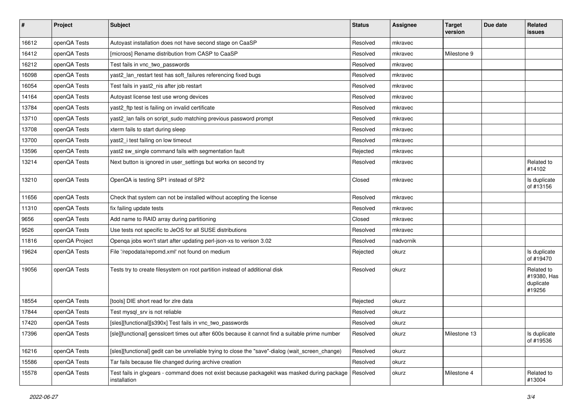| $\sharp$ | Project        | <b>Subject</b>                                                                                               | <b>Status</b> | <b>Assignee</b> | <b>Target</b><br>version | Due date | Related<br><b>issues</b>                         |
|----------|----------------|--------------------------------------------------------------------------------------------------------------|---------------|-----------------|--------------------------|----------|--------------------------------------------------|
| 16612    | openQA Tests   | Autoyast installation does not have second stage on CaaSP                                                    | Resolved      | mkravec         |                          |          |                                                  |
| 16412    | openQA Tests   | [microos] Rename distribution from CASP to CaaSP                                                             | Resolved      | mkravec         | Milestone 9              |          |                                                  |
| 16212    | openQA Tests   | Test fails in vnc_two_passwords                                                                              | Resolved      | mkravec         |                          |          |                                                  |
| 16098    | openQA Tests   | yast2_lan_restart test has soft_failures referencing fixed bugs                                              | Resolved      | mkravec         |                          |          |                                                  |
| 16054    | openQA Tests   | Test fails in yast2_nis after job restart                                                                    | Resolved      | mkravec         |                          |          |                                                  |
| 14164    | openQA Tests   | Autoyast license test use wrong devices                                                                      | Resolved      | mkravec         |                          |          |                                                  |
| 13784    | openQA Tests   | yast2_ftp test is failing on invalid certificate                                                             | Resolved      | mkravec         |                          |          |                                                  |
| 13710    | openQA Tests   | yast2_lan fails on script_sudo matching previous password prompt                                             | Resolved      | mkravec         |                          |          |                                                  |
| 13708    | openQA Tests   | xterm fails to start during sleep                                                                            | Resolved      | mkravec         |                          |          |                                                  |
| 13700    | openQA Tests   | yast2_i test failing on low timeout                                                                          | Resolved      | mkravec         |                          |          |                                                  |
| 13596    | openQA Tests   | yast2 sw_single command fails with segmentation fault                                                        | Rejected      | mkravec         |                          |          |                                                  |
| 13214    | openQA Tests   | Next button is ignored in user_settings but works on second try                                              | Resolved      | mkravec         |                          |          | Related to<br>#14102                             |
| 13210    | openQA Tests   | OpenQA is testing SP1 instead of SP2                                                                         | Closed        | mkravec         |                          |          | Is duplicate<br>of #13156                        |
| 11656    | openQA Tests   | Check that system can not be installed without accepting the license                                         | Resolved      | mkravec         |                          |          |                                                  |
| 11310    | openQA Tests   | fix failing update tests                                                                                     | Resolved      | mkravec         |                          |          |                                                  |
| 9656     | openQA Tests   | Add name to RAID array during partitioning                                                                   | Closed        | mkravec         |                          |          |                                                  |
| 9526     | openQA Tests   | Use tests not specific to JeOS for all SUSE distributions                                                    | Resolved      | mkravec         |                          |          |                                                  |
| 11816    | openQA Project | Openqa jobs won't start after updating perl-json-xs to verison 3.02                                          | Resolved      | nadvornik       |                          |          |                                                  |
| 19624    | openQA Tests   | File '/repodata/repomd.xml' not found on medium                                                              | Rejected      | okurz           |                          |          | Is duplicate<br>of #19470                        |
| 19056    | openQA Tests   | Tests try to create filesystem on root partition instead of additional disk                                  | Resolved      | okurz           |                          |          | Related to<br>#19380, Has<br>duplicate<br>#19256 |
| 18554    | openQA Tests   | [tools] DIE short read for zire data                                                                         | Rejected      | okurz           |                          |          |                                                  |
| 17844    | openQA Tests   | Test mysql_srv is not reliable                                                                               | Resolved      | okurz           |                          |          |                                                  |
| 17420    | openQA Tests   | [sles][functional][s390x] Test fails in vnc two passwords                                                    | Resolved      | okurz           |                          |          |                                                  |
| 17396    | openQA Tests   | [sle][functional] gensslcert times out after 600s because it cannot find a suitable prime number             | Resolved      | okurz           | Milestone 13             |          | Is duplicate<br>of #19536                        |
| 16216    | openQA Tests   | [sles][functional] gedit can be unreliable trying to close the "save"-dialog (wait_screen_change)            | Resolved      | okurz           |                          |          |                                                  |
| 15586    | openQA Tests   | Tar fails because file changed during archive creation                                                       | Resolved      | okurz           |                          |          |                                                  |
| 15578    | openQA Tests   | Test fails in glxgears - command does not exist because packagekit was masked during package<br>installation | Resolved      | okurz           | Milestone 4              |          | Related to<br>#13004                             |